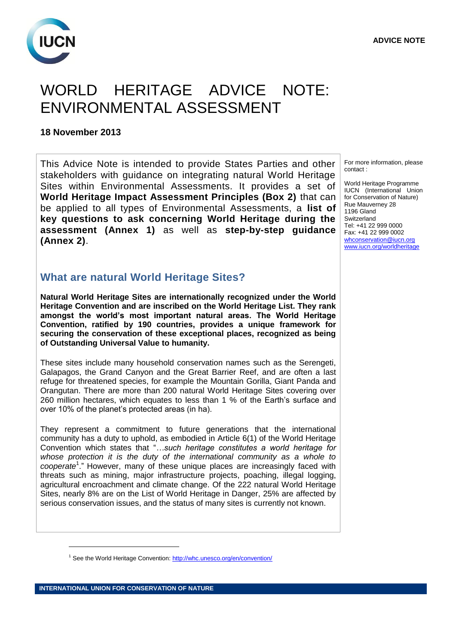

## WORLD HERITAGE ADVICE NOTE: ENVIRONMENTAL ASSESSMENT

#### **18 November 2013**

This Advice Note is intended to provide States Parties and other stakeholders with guidance on integrating natural World Heritage Sites within Environmental Assessments. It provides a set of **World Heritage Impact Assessment Principles (Box 2)** that can be applied to all types of Environmental Assessments, a **list of key questions to ask concerning World Heritage during the assessment (Annex 1)** as well as **step-by-step guidance (Annex 2)**.

## **What are natural World Heritage Sites?**

**Natural World Heritage Sites are internationally recognized under the World Heritage Convention and are inscribed on the World Heritage List. They rank amongst the world's most important natural areas. The World Heritage Convention, ratified by 190 countries, provides a unique framework for securing the conservation of these exceptional places, recognized as being of Outstanding Universal Value to humanity.**

These sites include many household conservation names such as the Serengeti, Galapagos, the Grand Canyon and the Great Barrier Reef, and are often a last refuge for threatened species, for example the Mountain Gorilla, Giant Panda and Orangutan. There are more than 200 natural World Heritage Sites covering over 260 million hectares, which equates to less than 1 % of the Earth's surface and over 10% of the planet's protected areas (in ha).

They represent a commitment to future generations that the international community has a duty to uphold, as embodied in Article 6(1) of the World Heritage Convention which states that "*…such heritage constitutes a world heritage for whose protection it is the duty of the international community as a whole to cooperate*<sup>1</sup> ." However, many of these unique places are increasingly faced with threats such as mining, major infrastructure projects, poaching, illegal logging, agricultural encroachment and climate change. Of the 222 natural World Heritage Sites, nearly 8% are on the List of World Heritage in Danger, 25% are affected by serious conservation issues, and the status of many sites is currently not known.

For more information, please contact :

World Heritage Programme IUCN (International Union for Conservation of Nature) Rue Mauverney 28 1196 Gland Switzerland Tel: +41 22 999 0000 Fax: +41 22 999 0002 [whconservation@iucn.org](mailto:whconservation@iucn.org)  [www.iucn.org/worldheritage](http://www.iucn.org/worldheritage)

<sup>&</sup>lt;sup>1</sup> See the World Heritage Convention:<http://whc.unesco.org/en/convention/>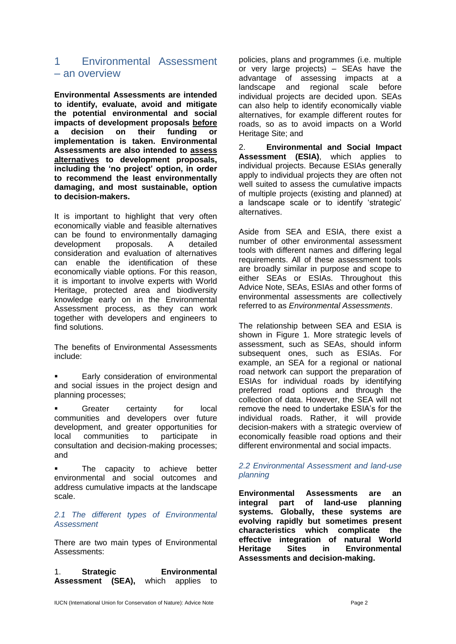## 1 Environmental Assessment – an overview

**Environmental Assessments are intended to identify, evaluate, avoid and mitigate the potential environmental and social impacts of development proposals before**<br>a decision on their funding or **a decision on their funding or implementation is taken. Environmental Assessments are also intended to assess alternatives to development proposals, including the 'no project' option, in order to recommend the least environmentally damaging, and most sustainable, option to decision-makers.** 

It is important to highlight that very often economically viable and feasible alternatives can be found to environmentally damaging development proposals. A detailed consideration and evaluation of alternatives can enable the identification of these economically viable options. For this reason, it is important to involve experts with World Heritage, protected area and biodiversity knowledge early on in the Environmental Assessment process, as they can work together with developers and engineers to find solutions.

The benefits of Environmental Assessments include:

- Early consideration of environmental and social issues in the project design and planning processes;
- Greater certainty for local communities and developers over future development, and greater opportunities for local communities to participate in consultation and decision-making processes; and

 The capacity to achieve better environmental and social outcomes and address cumulative impacts at the landscape scale.

#### *2.1 The different types of Environmental Assessment*

There are two main types of Environmental Assessments:

1. **Strategic Environmental Assessment (SEA),** which applies to policies, plans and programmes (i.e. multiple or very large projects) – SEAs have the advantage of assessing impacts at a and regional scale before individual projects are decided upon. SEAs can also help to identify economically viable alternatives, for example different routes for roads, so as to avoid impacts on a World Heritage Site; and

2. **Environmental and Social Impact Assessment (ESIA)**, which applies to individual projects. Because ESIAs generally apply to individual projects they are often not well suited to assess the cumulative impacts of multiple projects (existing and planned) at a landscape scale or to identify 'strategic' alternatives.

Aside from SEA and ESIA, there exist a number of other environmental assessment tools with different names and differing legal requirements. All of these assessment tools are broadly similar in purpose and scope to either SEAs or ESIAs. Throughout this Advice Note, SEAs, ESIAs and other forms of environmental assessments are collectively referred to as *Environmental Assessments*.

The relationship between SEA and ESIA is shown in Figure 1. More strategic levels of assessment, such as SEAs, should inform subsequent ones, such as ESIAs. For example, an SEA for a regional or national road network can support the preparation of ESIAs for individual roads by identifying preferred road options and through the collection of data. However, the SEA will not remove the need to undertake ESIA's for the individual roads. Rather, it will provide decision-makers with a strategic overview of economically feasible road options and their different environmental and social impacts.

#### *2.2 Environmental Assessment and land-use planning*

**Environmental Assessments are an integral part of land-use planning systems. Globally, these systems are evolving rapidly but sometimes present characteristics which complicate the effective integration of natural World Heritage Sites in Environmental Assessments and decision-making.**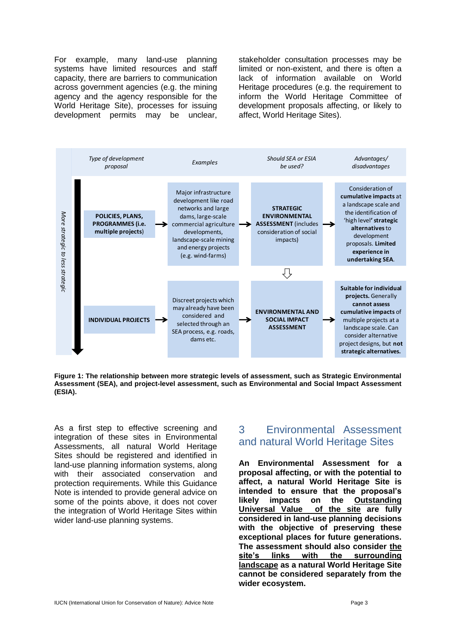For example, many land-use planning systems have limited resources and staff capacity, there are barriers to communication across government agencies (e.g. the mining agency and the agency responsible for the World Heritage Site), processes for issuing development permits may be unclear, stakeholder consultation processes may be limited or non-existent, and there is often a lack of information available on World Heritage procedures (e.g. the requirement to inform the World Heritage Committee of development proposals affecting, or likely to affect, World Heritage Sites).



**Figure 1: The relationship between more strategic levels of assessment, such as Strategic Environmental Assessment (SEA), and project-level assessment, such as Environmental and Social Impact Assessment (ESIA).**

As a first step to effective screening and integration of these sites in Environmental Assessments, all natural World Heritage Sites should be registered and identified in land-use planning information systems, along with their associated conservation and protection requirements. While this Guidance Note is intended to provide general advice on some of the points above, it does not cover the integration of World Heritage Sites within wider land-use planning systems.

## 3 Environmental Assessment and natural World Heritage Sites

**An Environmental Assessment for a proposal affecting, or with the potential to affect, a natural World Heritage Site is intended to ensure that the proposal's likely impacts on the Outstanding Universal Value of the site are fully considered in land-use planning decisions with the objective of preserving these exceptional places for future generations. The assessment should also consider the site's links with the surrounding landscape as a natural World Heritage Site cannot be considered separately from the wider ecosystem.**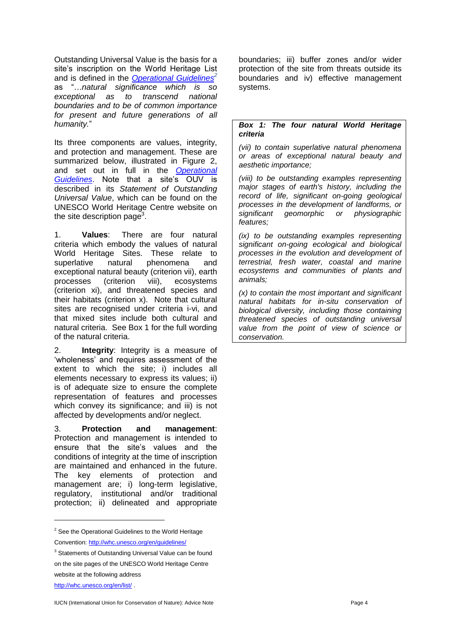Outstanding Universal Value is the basis for a site's inscription on the World Heritage List and is defined in the *[Operational Guidelines](http://whc.unesco.org/en/guidelines)<sup>2</sup>* as "…*natural significance which is so exceptional as to transcend national boundaries and to be of common importance for present and future generations of all humanity.*"

Its three components are values, integrity, and protection and management. These are summarized below, illustrated in Figure 2, and set out in full in the *[Operational](http://whc.unesco.org/en/guidelines)  [Guidelines](http://whc.unesco.org/en/guidelines)*. Note that a site's OUV is described in its *Statement of Outstanding Universal Value*, which can be found on the UNESCO World Heritage Centre website on the site description page<sup>3</sup>.

1. **Values**: There are four natural criteria which embody the values of natural World Heritage Sites. These relate to superlative natural phenomena and exceptional natural beauty (criterion vii), earth processes (criterion viii), ecosystems (criterion xi), and threatened species and their habitats (criterion x). Note that cultural sites are recognised under criteria i-vi, and that mixed sites include both cultural and natural criteria. See Box 1 for the full wording of the natural criteria.

2. **Integrity**: Integrity is a measure of 'wholeness' and requires assessment of the extent to which the site; i) includes all elements necessary to express its values; ii) is of adequate size to ensure the complete representation of features and processes which convey its significance; and iii) is not affected by developments and/or neglect.

3. **Protection and management**: Protection and management is intended to ensure that the site's values and the conditions of integrity at the time of inscription are maintained and enhanced in the future. The key elements of protection and management are; i) long-term legislative, regulatory, institutional and/or traditional protection; ii) delineated and appropriate

 $\overline{a}$ 

boundaries; iii) buffer zones and/or wider protection of the site from threats outside its boundaries and iv) effective management systems.

#### *Box 1: The four natural World Heritage criteria*

*(vii) to contain superlative natural phenomena or areas of exceptional natural beauty and aesthetic importance;*

*(viii) to be outstanding examples representing major stages of earth's history, including the record of life, significant on-going geological processes in the development of landforms, or significant geomorphic or physiographic features;*

*(ix) to be outstanding examples representing significant on-going ecological and biological processes in the evolution and development of terrestrial, fresh water, coastal and marine ecosystems and communities of plants and animals;*

*(x) to contain the most important and significant natural habitats for in-situ conservation of biological diversity, including those containing threatened species of outstanding universal value from the point of view of science or conservation.*

<sup>&</sup>lt;sup>2</sup> See the Operational Guidelines to the World Heritage Convention:<http://whc.unesco.org/en/guidelines/>

<sup>&</sup>lt;sup>3</sup> Statements of Outstanding Universal Value can be found on the site pages of the UNESCO World Heritage Centre website at the following address <http://whc.unesco.org/en/list/> .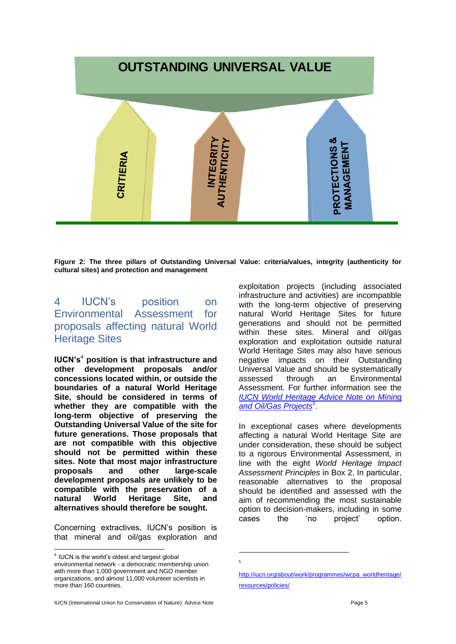# **OUTSTANDING UNIVERSAL VALUE**PROTECTIONS<sup>&</sup> AUTHENTICITY **NTEGRIT MANAGEMENT** CRITIERIA

**Figure 2: The three pillars of Outstanding Universal Value: criteria/values, integrity (authenticity for cultural sites) and protection and management**

## 4 IUCN's position on Environmental Assessment for proposals affecting natural World Heritage Sites

**IUCN's**<sup>4</sup> **position is that infrastructure and other development proposals and/or concessions located within, or outside the boundaries of a natural World Heritage Site, should be considered in terms of whether they are compatible with the long-term objective of preserving the Outstanding Universal Value of the site for future generations. Those proposals that are not compatible with this objective should not be permitted within these sites. Note that most major infrastructure proposals and other large-scale development proposals are unlikely to be compatible with the preservation of a natural World Heritage Site, and alternatives should therefore be sought.**

Concerning extractives, IUCN's position is that mineral and oil/gas exploration and

 $\overline{a}$ 

exploitation projects (including associated infrastructure and activities) are incompatible with the long-term objective of preserving natural World Heritage Sites for future generations and should not be permitted within these sites. Mineral and oil/gas exploration and exploitation outside natural World Heritage Sites may also have serious negative impacts on their Outstanding Universal Value and should be systematically assessed through an Environmental Assessment. For further information see the *[IUCN World Heritage Advice Note on Mining](http://iucn.org/about/work/programmes/wcpa_worldheritage/resources/policies/)  [and Oil/Gas Projects](http://iucn.org/about/work/programmes/wcpa_worldheritage/resources/policies/)<sup>5</sup>* .

In exceptional cases where developments affecting a natural World Heritage Site are under consideration, these should be subject to a rigorous Environmental Assessment, in line with the eight *World Heritage Impact Assessment Principles* in Box 2. In particular, reasonable alternatives to the proposal should be identified and assessed with the aim of recommending the most sustainable option to decision-makers, including in some cases the 'no project' option.

1 5

 $4$  IUCN is the world's oldest and largest global environmental network - a democratic membership union with more than 1,000 government and NGO member organizations, and almost 11,000 volunteer scientists in more than 160 countries.

[http://iucn.org/about/work/programmes/wcpa\\_worldheritage/](http://iucn.org/about/work/programmes/wcpa_worldheritage/resources/policies/) [resources/policies/](http://iucn.org/about/work/programmes/wcpa_worldheritage/resources/policies/)

IUCN (International Union for Conservation of Nature): Advice Note Page 5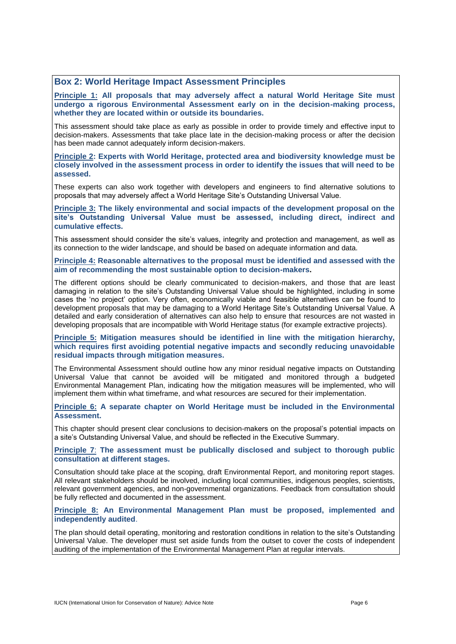#### **Box 2: World Heritage Impact Assessment Principles**

**Principle 1: All proposals that may adversely affect a natural World Heritage Site must undergo a rigorous Environmental Assessment early on in the decision-making process, whether they are located within or outside its boundaries.**

This assessment should take place as early as possible in order to provide timely and effective input to decision-makers. Assessments that take place late in the decision-making process or after the decision has been made cannot adequately inform decision-makers.

**Principle 2: Experts with World Heritage, protected area and biodiversity knowledge must be closely involved in the assessment process in order to identify the issues that will need to be assessed.**

These experts can also work together with developers and engineers to find alternative solutions to proposals that may adversely affect a World Heritage Site's Outstanding Universal Value.

**Principle 3: The likely environmental and social impacts of the development proposal on the site's Outstanding Universal Value must be assessed, including direct, indirect and cumulative effects.** 

This assessment should consider the site's values, integrity and protection and management, as well as its connection to the wider landscape, and should be based on adequate information and data.

**Principle 4: Reasonable alternatives to the proposal must be identified and assessed with the aim of recommending the most sustainable option to decision-makers.** 

The different options should be clearly communicated to decision-makers, and those that are least damaging in relation to the site's Outstanding Universal Value should be highlighted, including in some cases the 'no project' option. Very often, economically viable and feasible alternatives can be found to development proposals that may be damaging to a World Heritage Site's Outstanding Universal Value. A detailed and early consideration of alternatives can also help to ensure that resources are not wasted in developing proposals that are incompatible with World Heritage status (for example extractive projects).

**Principle 5: Mitigation measures should be identified in line with the mitigation hierarchy, which requires first avoiding potential negative impacts and secondly reducing unavoidable residual impacts through mitigation measures.** 

The Environmental Assessment should outline how any minor residual negative impacts on Outstanding Universal Value that cannot be avoided will be mitigated and monitored through a budgeted Environmental Management Plan, indicating how the mitigation measures will be implemented, who will implement them within what timeframe, and what resources are secured for their implementation.

**Principle 6: A separate chapter on World Heritage must be included in the Environmental Assessment.**

This chapter should present clear conclusions to decision-makers on the proposal's potential impacts on a site's Outstanding Universal Value, and should be reflected in the Executive Summary.

**Principle 7**: **The assessment must be publically disclosed and subject to thorough public consultation at different stages.**

Consultation should take place at the scoping, draft Environmental Report, and monitoring report stages. All relevant stakeholders should be involved, including local communities, indigenous peoples, scientists, relevant government agencies, and non-governmental organizations. Feedback from consultation should be fully reflected and documented in the assessment.

**Principle 8: An Environmental Management Plan must be proposed, implemented and independently audited**.

The plan should detail operating, monitoring and restoration conditions in relation to the site's Outstanding Universal Value. The developer must set aside funds from the outset to cover the costs of independent auditing of the implementation of the Environmental Management Plan at regular intervals.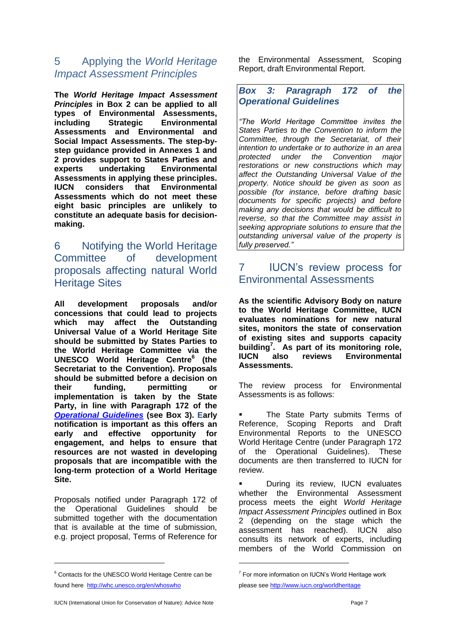## 5 Applying the *World Heritage Impact Assessment Principles*

**The** *World Heritage Impact Assessment Principles* **in Box 2 can be applied to all types of Environmental Assessments, including Strategic Environmental Assessments and Environmental and Social Impact Assessments. The step-bystep guidance provided in Annexes 1 and 2 provides support to States Parties and experts undertaking Environmental Assessments in applying these principles. Environmental Assessments which do not meet these eight basic principles are unlikely to constitute an adequate basis for decisionmaking.**

## 6 Notifying the World Heritage Committee of development proposals affecting natural World **Heritage Sites**

**All development proposals and/or concessions that could lead to projects which may affect the Outstanding Universal Value of a World Heritage Site should be submitted by States Parties to the World Heritage Committee via the UNESCO World Heritage Centre<sup>6</sup> (the Secretariat to the Convention). Proposals should be submitted before a decision on their funding, permitting or implementation is taken by the State Party, in line with Paragraph 172 of the**  *[Operational Guidelines](http://whc.unesco.org/en/guidelines)* **(see Box 3). Early notification is important as this offers an early and effective opportunity for engagement, and helps to ensure that resources are not wasted in developing proposals that are incompatible with the long-term protection of a World Heritage Site.** 

Proposals notified under Paragraph 172 of the Operational Guidelines should be submitted together with the documentation that is available at the time of submission, e.g. project proposal, Terms of Reference for

 $\overline{a}$ 

the Environmental Assessment, Scoping Report, draft Environmental Report.

### *Box 3: Paragraph 172 of the Operational Guidelines*

*"The World Heritage Committee invites the States Parties to the Convention to inform the Committee, through the Secretariat, of their intention to undertake or to authorize in an area protected under the Convention major restorations or new constructions which may affect the Outstanding Universal Value of the property. Notice should be given as soon as possible (for instance, before drafting basic documents for specific projects) and before making any decisions that would be difficult to reverse, so that the Committee may assist in seeking appropriate solutions to ensure that the outstanding universal value of the property is fully preserved."*

## 7 IUCN's review process for Environmental Assessments

**As the scientific Advisory Body on nature to the World Heritage Committee, IUCN evaluates nominations for new natural sites, monitors the state of conservation of existing sites and supports capacity building<sup>7</sup> . As part of its monitoring role, IUCN also reviews Environmental Assessments.**

The review process for Environmental Assessments is as follows:

 The State Party submits Terms of Reference, Scoping Reports and Draft Environmental Reports to the UNESCO World Heritage Centre (under Paragraph 172 of the Operational Guidelines). These documents are then transferred to IUCN for review.

 During its review, IUCN evaluates whether the Environmental Assessment process meets the eight *World Heritage Impact Assessment Principles* outlined in Box 2 (depending on the stage which the assessment has reached). IUCN also consults its network of experts, including members of the World Commission on

1

<sup>&</sup>lt;sup>6</sup> Contacts for the UNESCO World Heritage Centre can be found here<http://whc.unesco.org/en/whoswho>

<sup>&</sup>lt;sup>7</sup> For more information on IUCN's World Heritage work please see <http://www.iucn.org/worldheritage>

IUCN (International Union for Conservation of Nature): Advice Note Page 7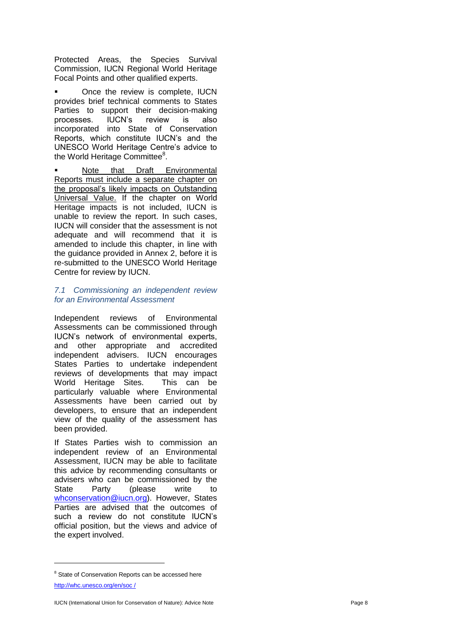Protected Areas, the Species Survival Commission, IUCN Regional World Heritage Focal Points and other qualified experts.

 Once the review is complete, IUCN provides brief technical comments to States Parties to support their decision -making processes. IUCN's review is also incorporated into State of Conservation Reports, which constitute IUCN's and the UNESCO World Heritage Centre's advice to the World Heritage Committee<sup>8</sup>.

 Note that Draft Environmental Reports must include a separate chapter on the proposal's likely impacts on Outstanding Universal Value. If the chapter on World Heritage impacts is not included, IUCN is unable to review the report. In such cases, IUCN will consider that the assessment is not adequate and will recommend that it is amended to include this chapter, in line with the guidance provided in Annex 2, before it is re -submitted to the UNESCO World Heritage Centre for review by IUCN.

#### *7.1 Commissioning an independent review for an Environmental Assessment*

Independent reviews of Environmental Assessments can be commissioned through IUCN's network of environmental experts, and other appropriate and accredited independent advisers. IUCN encourages States Parties to undertake independent reviews of developments that may impact World Heritage Sites. This can be particularly valuable where Environmental Assessments have been carried out by developers, to ensure that an independent view of the quality of the assessment has been provided.

If States Parties wish to commission an independent review of an Environmental Assessment, IUCN may be able to facilitate this advice by recommending consultants or advisers who can be commissioned by the State Party (please write to [whconservation@iucn.org\)](mailto:whconservation@iucn.org). However, States Parties are advised that the outcomes of such a review do not constitute IUCN's official position, but the views and advice of the expert involved.

<sup>&</sup>lt;sup>8</sup> State of Conservation Reports can be accessed here [http://whc.unesco.org/en/soc /](http://whc.unesco.org/en/soc%20/)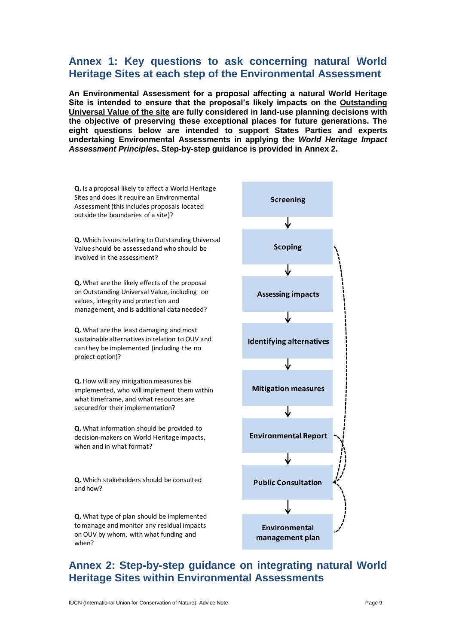## **Annex 1: Key questions to ask concerning natural World Heritage Sites at each step of the Environmental Assessment**

**An Environmental Assessment for a proposal affecting a natural World Heritage Site is intended to ensure that the proposal's likely impacts on the Outstanding Universal Value of the site are fully considered in land-use planning decisions with the objective of preserving these exceptional places for future generations. The eight questions below are intended to support States Parties and experts undertaking Environmental Assessments in applying the** *World Heritage Impact Assessment Principles***. Step-by-step guidance is provided in Annex 2.** 



## **Annex 2: Step-by-step guidance on integrating natural World Heritage Sites within Environmental Assessments**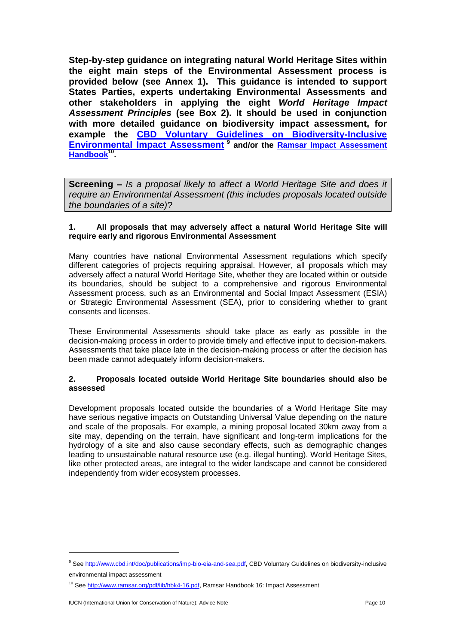**Step-by-step guidance on integrating natural World Heritage Sites within the eight main steps of the Environmental Assessment process is provided below (see Annex 1). This guidance is intended to support States Parties, experts undertaking Environmental Assessments and other stakeholders in applying the eight** *World Heritage Impact Assessment Principles* **(see Box 2). It should be used in conjunction with more detailed guidance on biodiversity impact assessment, for example the [CBD Voluntary Guidelines on Biodiversity-Inclusive](http://www.cbd.int/doc/publications/imp-bio-eia-and-sea.pdf)  [Environmental Impact Assessment](http://www.cbd.int/doc/publications/imp-bio-eia-and-sea.pdf) <sup>9</sup> and/or the [Ramsar Impact Assessment](http://www.ramsar.org/pdf/lib/hbk4-16.pdf)  [Handbook](http://www.ramsar.org/pdf/lib/hbk4-16.pdf) 10 .** 

**Screening –** *Is a proposal likely to affect a World Heritage Site and does it require an Environmental Assessment (this includes proposals located outside the boundaries of a site)*?

#### **1. All proposals that may adversely affect a natural World Heritage Site will require early and rigorous Environmental Assessment**

Many countries have national Environmental Assessment regulations which specify different categories of projects requiring appraisal. However, all proposals which may adversely affect a natural World Heritage Site, whether they are located within or outside its boundaries, should be subject to a comprehensive and rigorous Environmental Assessment process, such as an Environmental and Social Impact Assessment (ESIA) or Strategic Environmental Assessment (SEA), prior to considering whether to grant consents and licenses.

These Environmental Assessments should take place as early as possible in the decision-making process in order to provide timely and effective input to decision-makers. Assessments that take place late in the decision-making process or after the decision has been made cannot adequately inform decision-makers.

#### **2. Proposals located outside World Heritage Site boundaries should also be assessed**

Development proposals located outside the boundaries of a World Heritage Site may have serious negative impacts on Outstanding Universal Value depending on the nature and scale of the proposals. For example, a mining proposal located 30km away from a site may, depending on the terrain, have significant and long-term implications for the hydrology of a site and also cause secondary effects, such as demographic changes leading to unsustainable natural resource use (e.g. illegal hunting). World Heritage Sites, like other protected areas, are integral to the wider landscape and cannot be considered independently from wider ecosystem processes.

<sup>9</sup> Se[e http://www.cbd.int/doc/publications/imp-bio-eia-and-sea.pdf,](http://www.cbd.int/doc/publications/imp-bio-eia-and-sea.pdf) CBD Voluntary Guidelines on biodiversity-inclusive environmental impact assessment

<sup>&</sup>lt;sup>10</sup> Se[e http://www.ramsar.org/pdf/lib/hbk4-16.pdf,](http://www.ramsar.org/pdf/lib/hbk4-16.pdf) Ramsar Handbook 16: Impact Assessment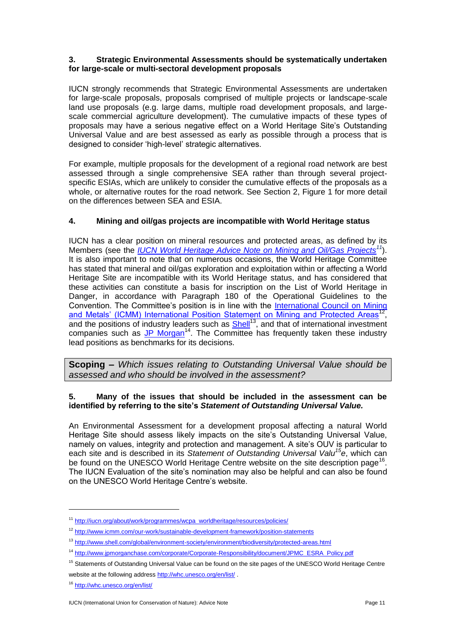#### **3. Strategic Environmental Assessments should be systematically undertaken for large-scale or multi-sectoral development proposals**

IUCN strongly recommends that Strategic Environmental Assessments are undertaken for large-scale proposals, proposals comprised of multiple projects or landscape-scale land use proposals (e.g. large dams, multiple road development proposals, and largescale commercial agriculture development). The cumulative impacts of these types of proposals may have a serious negative effect on a World Heritage Site's Outstanding Universal Value and are best assessed as early as possible through a process that is designed to consider 'high-level' strategic alternatives.

For example, multiple proposals for the development of a regional road network are best assessed through a single comprehensive SEA rather than through several projectspecific ESIAs, which are unlikely to consider the cumulative effects of the proposals as a whole, or alternative routes for the road network. See Section 2, Figure 1 for more detail on the differences between SEA and ESIA.

#### **4. Mining and oil/gas projects are incompatible with World Heritage status**

IUCN has a clear position on mineral resources and protected areas, as defined by its Members (see the *[IUCN World Heritage Advice Note on Mining and Oil/Gas Projects](http://iucn.org/about/work/programmes/wcpa_worldheritage/resources/policies/)<sup>11</sup>*). It is also important to note that on numerous occasions, the World Heritage Committee has stated that mineral and oil/gas exploration and exploitation within or affecting a World Heritage Site are incompatible with its World Heritage status, and has considered that these activities can constitute a basis for inscription on the List of World Heritage in Danger, in accordance with Paragraph 180 of the Operational Guidelines to the Convention. The Committee's position is in line with the International Council on Mining [and Metals' \(ICMM\) International Position Statement on Mining and Protected Areas](http://www.icmm.com/our-work/sustainable-development-framework/position-statements)<sup>12</sup>, and the positions of industry leaders such as **Shell**<sup>13</sup>, and that of international investment companies such as [JP Morgan](http://www.jpmorganchase.com/corporate/Corporate-Responsibility/document/JPMC_ESRA_Policy.pdf)<sup>14</sup>. The Committee has frequently taken these industry lead positions as benchmarks for its decisions.

**Scoping –** *Which issues relating to Outstanding Universal Value should be assessed and who should be involved in the assessment?*

#### **5. Many of the issues that should be included in the assessment can be identified by referring to the site's** *Statement of Outstanding Universal Value.*

An Environmental Assessment for a development proposal affecting a natural World Heritage Site should assess likely impacts on the site's Outstanding Universal Value, namely on values, integrity and protection and management. A site's OUV is particular to each site and is described in its *Statement of Outstanding Universal Valu<sup>15</sup>e*, which can be found on the UNESCO World Heritage Centre website on the site description page<sup>16</sup>. The IUCN Evaluation of the site's nomination may also be helpful and can also be found on the UNESCO World Heritage Centre's website.

<sup>&</sup>lt;sup>11</sup> [http://iucn.org/about/work/programmes/wcpa\\_worldheritage/resources/policies/](http://iucn.org/about/work/programmes/wcpa_worldheritage/resources/policies/)

<sup>12</sup> <http://www.icmm.com/our-work/sustainable-development-framework/position-statements>

<sup>13</sup> <http://www.shell.com/global/environment-society/environment/biodiversity/protected-areas.html>

<sup>14</sup> [http://www.jpmorganchase.com/corporate/Corporate-Responsibility/document/JPMC\\_ESRA\\_Policy.pdf](http://www.jpmorganchase.com/corporate/Corporate-Responsibility/document/JPMC_ESRA_Policy.pdf)

<sup>&</sup>lt;sup>15</sup> Statements of Outstanding Universal Value can be found on the site pages of the UNESCO World Heritage Centre website at the following addres[s http://whc.unesco.org/en/list/](http://whc.unesco.org/en/list/).

<sup>16</sup> <http://whc.unesco.org/en/list/>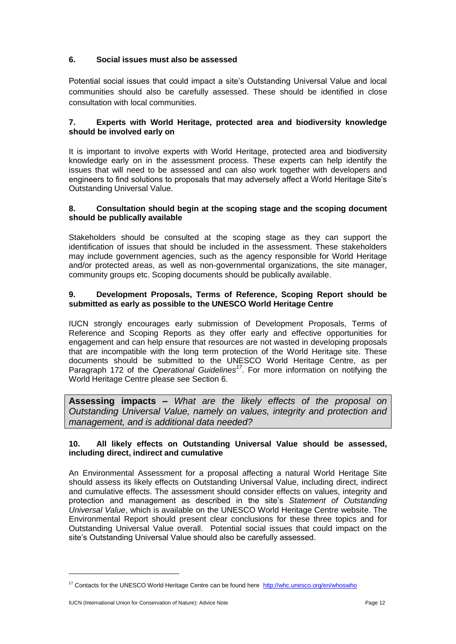#### **6. Social issues must also be assessed**

Potential social issues that could impact a site's Outstanding Universal Value and local communities should also be carefully assessed. These should be identified in close consultation with local communities.

#### **7. Experts with World Heritage, protected area and biodiversity knowledge should be involved early on**

It is important to involve experts with World Heritage, protected area and biodiversity knowledge early on in the assessment process. These experts can help identify the issues that will need to be assessed and can also work together with developers and engineers to find solutions to proposals that may adversely affect a World Heritage Site's Outstanding Universal Value.

#### **8. Consultation should begin at the scoping stage and the scoping document should be publically available**

Stakeholders should be consulted at the scoping stage as they can support the identification of issues that should be included in the assessment. These stakeholders may include government agencies, such as the agency responsible for World Heritage and/or protected areas, as well as non-governmental organizations, the site manager, community groups etc. Scoping documents should be publically available.

#### **9. Development Proposals, Terms of Reference, Scoping Report should be submitted as early as possible to the UNESCO World Heritage Centre**

IUCN strongly encourages early submission of Development Proposals, Terms of Reference and Scoping Reports as they offer early and effective opportunities for engagement and can help ensure that resources are not wasted in developing proposals that are incompatible with the long term protection of the World Heritage site. These documents should be submitted to the UNESCO World Heritage Centre, as per Paragraph 172 of the *Operational Guidelines<sup>17</sup>*. For more information on notifying the World Heritage Centre please see Section 6.

**Assessing impacts –** *What are the likely effects of the proposal on Outstanding Universal Value, namely on values, integrity and protection and management, and is additional data needed?*

#### **10. All likely effects on Outstanding Universal Value should be assessed, including direct, indirect and cumulative**

An Environmental Assessment for a proposal affecting a natural World Heritage Site should assess its likely effects on Outstanding Universal Value, including direct, indirect and cumulative effects. The assessment should consider effects on values, integrity and protection and management as described in the site's *Statement of Outstanding Universal Value*, which is available on the UNESCO World Heritage Centre website. The Environmental Report should present clear conclusions for these three topics and for Outstanding Universal Value overall. Potential social issues that could impact on the site's Outstanding Universal Value should also be carefully assessed.

<sup>&</sup>lt;sup>17</sup> Contacts for the UNESCO World Heritage Centre can be found here<http://whc.unesco.org/en/whoswho>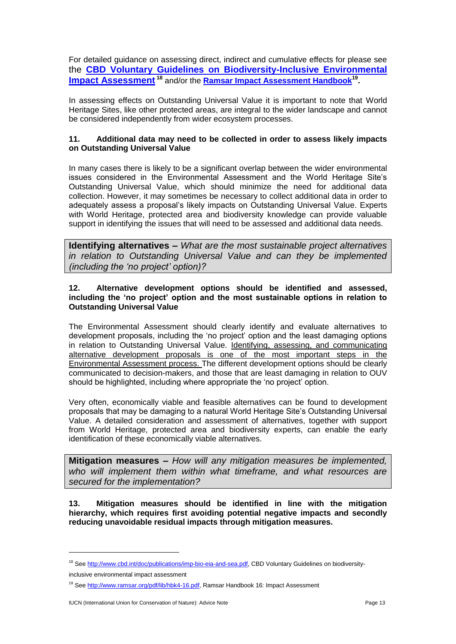For detailed guidance on assessing direct, indirect and cumulative effects for please see the **[CBD Voluntary Guidelines on Biodiversity-Inclusive Environmental](http://www.cbd.int/doc/publications/imp-bio-eia-and-sea.pdf)  [Impact Assessment](http://www.cbd.int/doc/publications/imp-bio-eia-and-sea.pdf) <sup>18</sup>** and/or the **[Ramsar Impact Assessment Handbook](http://www.ramsar.org/pdf/lib/hbk4-16.pdf)<sup>19</sup> .** 

In assessing effects on Outstanding Universal Value it is important to note that World Heritage Sites, like other protected areas, are integral to the wider landscape and cannot be considered independently from wider ecosystem processes.

#### **11. Additional data may need to be collected in order to assess likely impacts on Outstanding Universal Value**

In many cases there is likely to be a significant overlap between the wider environmental issues considered in the Environmental Assessment and the World Heritage Site's Outstanding Universal Value, which should minimize the need for additional data collection. However, it may sometimes be necessary to collect additional data in order to adequately assess a proposal's likely impacts on Outstanding Universal Value. Experts with World Heritage, protected area and biodiversity knowledge can provide valuable support in identifying the issues that will need to be assessed and additional data needs.

**Identifying alternatives –** *What are the most sustainable project alternatives in relation to Outstanding Universal Value and can they be implemented (including the 'no project' option)?*

#### **12. Alternative development options should be identified and assessed, including the 'no project' option and the most sustainable options in relation to Outstanding Universal Value**

The Environmental Assessment should clearly identify and evaluate alternatives to development proposals, including the 'no project' option and the least damaging options in relation to Outstanding Universal Value. Identifying, assessing, and communicating alternative development proposals is one of the most important steps in the Environmental Assessment process. The different development options should be clearly communicated to decision-makers, and those that are least damaging in relation to OUV should be highlighted, including where appropriate the 'no project' option.

Very often, economically viable and feasible alternatives can be found to development proposals that may be damaging to a natural World Heritage Site's Outstanding Universal Value. A detailed consideration and assessment of alternatives, together with support from World Heritage, protected area and biodiversity experts, can enable the early identification of these economically viable alternatives.

**Mitigation measures –** *How will any mitigation measures be implemented, who will implement them within what timeframe, and what resources are secured for the implementation?*

**13. Mitigation measures should be identified in line with the mitigation hierarchy, which requires first avoiding potential negative impacts and secondly reducing unavoidable residual impacts through mitigation measures.**

<sup>&</sup>lt;sup>18</sup> Se[e http://www.cbd.int/doc/publications/imp-bio-eia-and-sea.pdf,](http://www.cbd.int/doc/publications/imp-bio-eia-and-sea.pdf) CBD Voluntary Guidelines on biodiversity-

inclusive environmental impact assessment

<sup>&</sup>lt;sup>19</sup> Se[e http://www.ramsar.org/pdf/lib/hbk4-16.pdf,](http://www.ramsar.org/pdf/lib/hbk4-16.pdf) Ramsar Handbook 16: Impact Assessment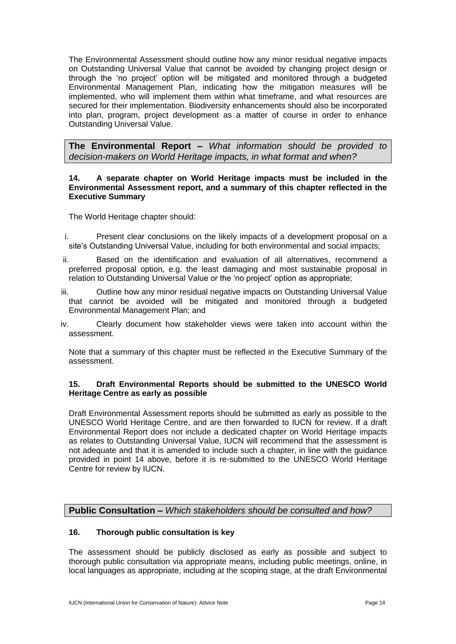The Environmental Assessment should outline how any minor residual negative impacts on Outstanding Universal Value that cannot be avoided by changing project design or through the 'no project' option will be mitigated and monitored through a budgeted Environmental Management Plan, indicating how the mitigation measures will be implemented, who will implement them within what timeframe, and what resources are secured for their implementation. Biodiversity enhancements should also be incorporated into plan, program, project development as a matter of course in order to enhance Outstanding Universal Value.

**The Environmental Report –** *What information should be provided to decision-makers on World Heritage impacts, in what format and when?*

#### **14. A separate chapter on World Heritage impacts must be included in the Environmental Assessment report, and a summary of this chapter reflected in the Executive Summary**

The World Heritage chapter should:

- i. Present clear conclusions on the likely impacts of a development proposal on a site's Outstanding Universal Value, including for both environmental and social impacts;
- ii. Based on the identification and evaluation of all alternatives, recommend a preferred proposal option, e.g. the least damaging and most sustainable proposal in relation to Outstanding Universal Value or the 'no project' option as appropriate;
- iii. Outline how any minor residual negative impacts on Outstanding Universal Value that cannot be avoided will be mitigated and monitored through a budgeted Environmental Management Plan; and
- iv. Clearly document how stakeholder views were taken into account within the assessment.

Note that a summary of this chapter must be reflected in the Executive Summary of the assessment.

#### **15. Draft Environmental Reports should be submitted to the UNESCO World Heritage Centre as early as possible**

Draft Environmental Assessment reports should be submitted as early as possible to the UNESCO World Heritage Centre, and are then forwarded to IUCN for review. If a draft Environmental Report does not include a dedicated chapter on World Heritage impacts as relates to Outstanding Universal Value, IUCN will recommend that the assessment is not adequate and that it is amended to include such a chapter, in line with the guidance provided in point 14 above, before it is re-submitted to the UNESCO World Heritage Centre for review by IUCN.

#### **Public Consultation –** *Which stakeholders should be consulted and how?*

#### **16. Thorough public consultation is key**

The assessment should be publicly disclosed as early as possible and subject to thorough public consultation via appropriate means, including public meetings, online, in local languages as appropriate, including at the scoping stage, at the draft Environmental